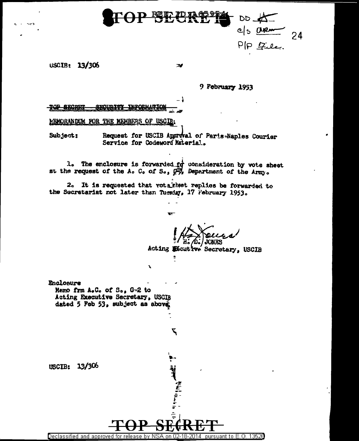

 $\mathcal{A}$ 

- 1

## USCIB: 13/306

9 February 1953

20P <del>SECRET</del>

MEMORANDUM FOR THE MEMBERS OF USCIB.

Request for USCIB Approval of Paris-Naples Courier Subject: Service for Codeword Material..

1. The enclosure is forwarded  $f\dot{g}$  consideration by vote sheet<br>at the request of the A. C. of S.,  $Q\overline{g}$ , Department of the Army.

 $\ddot{ }$ 

۳

À

2. It is requested that votainhet replies be forwarded to the Secretariat not later then Tuesday, 17 Pebruary 1953.

Acting Escutive Secretary, USCIB

Enclosure Memo frm A.C. of S., G-2 to Acting Executive Secretary, USCIB dated 5 Feb 53, subject as above

USCIB: 13/306

Declassified and approved for release by NSA on 02-18-2014 pursuant to E.O. 13528